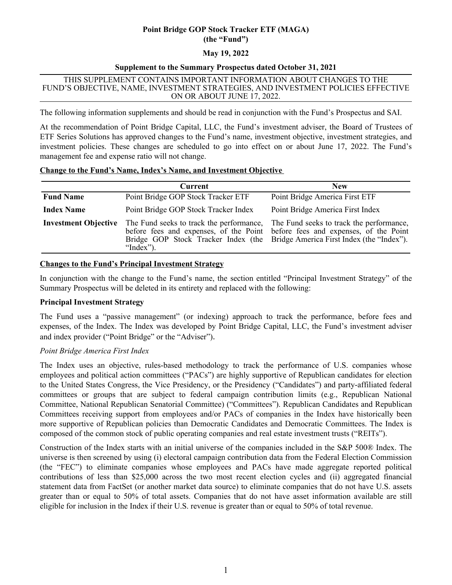# **Point Bridge GOP Stock Tracker ETF (MAGA) (the "Fund")**

# **May 19, 2022**

# **Supplement to the Summary Prospectus dated October 31, 2021**

#### THIS SUPPLEMENT CONTAINS IMPORTANT INFORMATION ABOUT CHANGES TO THE FUND'S OBJECTIVE, NAME, INVESTMENT STRATEGIES, AND INVESTMENT POLICIES EFFECTIVE ON OR ABOUT JUNE 17, 2022.

The following information supplements and should be read in conjunction with the Fund's Prospectus and SAI.

At the recommendation of Point Bridge Capital, LLC, the Fund's investment adviser, the Board of Trustees of ETF Series Solutions has approved changes to the Fund's name, investment objective, investment strategies, and investment policies. These changes are scheduled to go into effect on or about June 17, 2022. The Fund's management fee and expense ratio will not change.

| <b>Change to the Fund's Name, Index's Name, and Investment Objective</b> |  |  |
|--------------------------------------------------------------------------|--|--|
|                                                                          |  |  |

|                             | <b>Current</b>                                        | <b>New</b>                                                                                                                                                                                                 |
|-----------------------------|-------------------------------------------------------|------------------------------------------------------------------------------------------------------------------------------------------------------------------------------------------------------------|
| <b>Fund Name</b>            | Point Bridge GOP Stock Tracker ETF                    | Point Bridge America First ETF                                                                                                                                                                             |
| <b>Index Name</b>           | Point Bridge GOP Stock Tracker Index                  | Point Bridge America First Index                                                                                                                                                                           |
| <b>Investment Objective</b> | The Fund seeks to track the performance,<br>"Index"). | The Fund seeks to track the performance,<br>before fees and expenses, of the Point before fees and expenses, of the Point<br>Bridge GOP Stock Tracker Index (the Bridge America First Index (the "Index"). |

# **Changes to the Fund's Principal Investment Strategy**

In conjunction with the change to the Fund's name, the section entitled "Principal Investment Strategy" of the Summary Prospectus will be deleted in its entirety and replaced with the following:

# **Principal Investment Strategy**

The Fund uses a "passive management" (or indexing) approach to track the performance, before fees and expenses, of the Index. The Index was developed by Point Bridge Capital, LLC, the Fund's investment adviser and index provider ("Point Bridge" or the "Adviser").

# *Point Bridge America First Index*

The Index uses an objective, rules-based methodology to track the performance of U.S. companies whose employees and political action committees ("PACs") are highly supportive of Republican candidates for election to the United States Congress, the Vice Presidency, or the Presidency ("Candidates") and party-affiliated federal committees or groups that are subject to federal campaign contribution limits (e.g., Republican National Committee, National Republican Senatorial Committee) ("Committees"). Republican Candidates and Republican Committees receiving support from employees and/or PACs of companies in the Index have historically been more supportive of Republican policies than Democratic Candidates and Democratic Committees. The Index is composed of the common stock of public operating companies and real estate investment trusts ("REITs").

Construction of the Index starts with an initial universe of the companies included in the S&P 500® Index. The universe is then screened by using (i) electoral campaign contribution data from the Federal Election Commission (the "FEC") to eliminate companies whose employees and PACs have made aggregate reported political contributions of less than \$25,000 across the two most recent election cycles and (ii) aggregated financial statement data from FactSet (or another market data source) to eliminate companies that do not have U.S. assets greater than or equal to 50% of total assets. Companies that do not have asset information available are still eligible for inclusion in the Index if their U.S. revenue is greater than or equal to 50% of total revenue.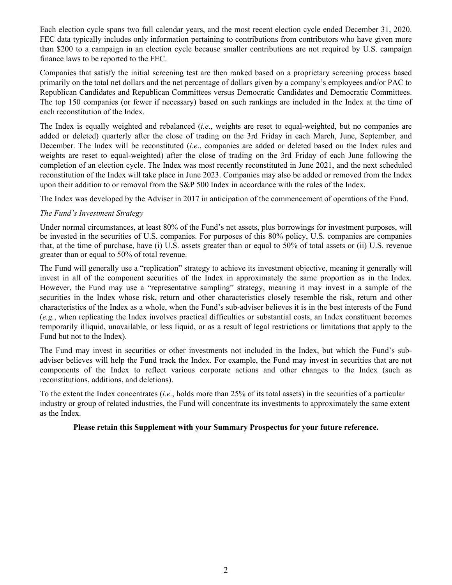Each election cycle spans two full calendar years, and the most recent election cycle ended December 31, 2020. FEC data typically includes only information pertaining to contributions from contributors who have given more than \$200 to a campaign in an election cycle because smaller contributions are not required by U.S. campaign finance laws to be reported to the FEC.

Companies that satisfy the initial screening test are then ranked based on a proprietary screening process based primarily on the total net dollars and the net percentage of dollars given by a company's employees and/or PAC to Republican Candidates and Republican Committees versus Democratic Candidates and Democratic Committees. The top 150 companies (or fewer if necessary) based on such rankings are included in the Index at the time of each reconstitution of the Index.

The Index is equally weighted and rebalanced (*i.e*., weights are reset to equal-weighted, but no companies are added or deleted) quarterly after the close of trading on the 3rd Friday in each March, June, September, and December. The Index will be reconstituted (*i.e*., companies are added or deleted based on the Index rules and weights are reset to equal-weighted) after the close of trading on the 3rd Friday of each June following the completion of an election cycle. The Index was most recently reconstituted in June 2021, and the next scheduled reconstitution of the Index will take place in June 2023. Companies may also be added or removed from the Index upon their addition to or removal from the S&P 500 Index in accordance with the rules of the Index.

The Index was developed by the Adviser in 2017 in anticipation of the commencement of operations of the Fund.

# *The Fund's Investment Strategy*

Under normal circumstances, at least 80% of the Fund's net assets, plus borrowings for investment purposes, will be invested in the securities of U.S. companies. For purposes of this 80% policy, U.S. companies are companies that, at the time of purchase, have (i) U.S. assets greater than or equal to 50% of total assets or (ii) U.S. revenue greater than or equal to 50% of total revenue.

The Fund will generally use a "replication" strategy to achieve its investment objective, meaning it generally will invest in all of the component securities of the Index in approximately the same proportion as in the Index. However, the Fund may use a "representative sampling" strategy, meaning it may invest in a sample of the securities in the Index whose risk, return and other characteristics closely resemble the risk, return and other characteristics of the Index as a whole, when the Fund's sub-adviser believes it is in the best interests of the Fund (*e.g.*, when replicating the Index involves practical difficulties or substantial costs, an Index constituent becomes temporarily illiquid, unavailable, or less liquid, or as a result of legal restrictions or limitations that apply to the Fund but not to the Index).

The Fund may invest in securities or other investments not included in the Index, but which the Fund's subadviser believes will help the Fund track the Index. For example, the Fund may invest in securities that are not components of the Index to reflect various corporate actions and other changes to the Index (such as reconstitutions, additions, and deletions).

To the extent the Index concentrates (*i.e.*, holds more than 25% of its total assets) in the securities of a particular industry or group of related industries, the Fund will concentrate its investments to approximately the same extent as the Index.

# **Please retain this Supplement with your Summary Prospectus for your future reference.**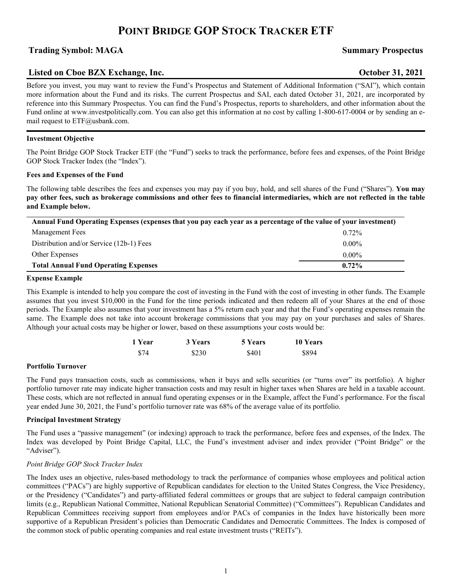# **POINT BRIDGE GOP STOCK TRACKER ETF**

# **Trading Symbol: MAGA Summary Prospectus**

# **Listed on Cboe BZX Exchange, Inc. October 31, 2021**

Before you invest, you may want to review the Fund's Prospectus and Statement of Additional Information ("SAI"), which contain more information about the Fund and its risks. The current Prospectus and SAI, each dated October 31, 2021, are incorporated by reference into this Summary Prospectus. You can find the Fund's Prospectus, reports to shareholders, and other information about the Fund online at www.investpolitically.com. You can also get this information at no cost by calling 1-800-617-0004 or by sending an email request to ETF@usbank.com.

### **Investment Objective**

The Point Bridge GOP Stock Tracker ETF (the "Fund") seeks to track the performance, before fees and expenses, of the Point Bridge GOP Stock Tracker Index (the "Index").

#### **Fees and Expenses of the Fund**

The following table describes the fees and expenses you may pay if you buy, hold, and sell shares of the Fund ("Shares"). **You may pay other fees, such as brokerage commissions and other fees to financial intermediaries, which are not reflected in the table and Example below.**

| Annual Fund Operating Expenses (expenses that you pay each year as a percentage of the value of your investment) |          |  |
|------------------------------------------------------------------------------------------------------------------|----------|--|
| Management Fees                                                                                                  | $0.72\%$ |  |
| Distribution and/or Service (12b-1) Fees                                                                         | $0.00\%$ |  |
| Other Expenses                                                                                                   | $0.00\%$ |  |
| <b>Total Annual Fund Operating Expenses</b>                                                                      | $0.72\%$ |  |

#### **Expense Example**

This Example is intended to help you compare the cost of investing in the Fund with the cost of investing in other funds. The Example assumes that you invest \$10,000 in the Fund for the time periods indicated and then redeem all of your Shares at the end of those periods. The Example also assumes that your investment has a 5% return each year and that the Fund's operating expenses remain the same. The Example does not take into account brokerage commissions that you may pay on your purchases and sales of Shares. Although your actual costs may be higher or lower, based on these assumptions your costs would be:

| 1 Year | 3 Years | 5 Years | 10 Years |
|--------|---------|---------|----------|
| \$74   | \$230   | \$401   | \$894    |

#### **Portfolio Turnover**

The Fund pays transaction costs, such as commissions, when it buys and sells securities (or "turns over" its portfolio). A higher portfolio turnover rate may indicate higher transaction costs and may result in higher taxes when Shares are held in a taxable account. These costs, which are not reflected in annual fund operating expenses or in the Example, affect the Fund's performance. For the fiscal year ended June 30, 2021, the Fund's portfolio turnover rate was 68% of the average value of its portfolio.

#### **Principal Investment Strategy**

The Fund uses a "passive management" (or indexing) approach to track the performance, before fees and expenses, of the Index. The Index was developed by Point Bridge Capital, LLC, the Fund's investment adviser and index provider ("Point Bridge" or the "Adviser").

#### *Point Bridge GOP Stock Tracker Index*

The Index uses an objective, rules-based methodology to track the performance of companies whose employees and political action committees ("PACs") are highly supportive of Republican candidates for election to the United States Congress, the Vice Presidency, or the Presidency ("Candidates") and party-affiliated federal committees or groups that are subject to federal campaign contribution limits (e.g., Republican National Committee, National Republican Senatorial Committee) ("Committees"). Republican Candidates and Republican Committees receiving support from employees and/or PACs of companies in the Index have historically been more supportive of a Republican President's policies than Democratic Candidates and Democratic Committees. The Index is composed of the common stock of public operating companies and real estate investment trusts ("REITs").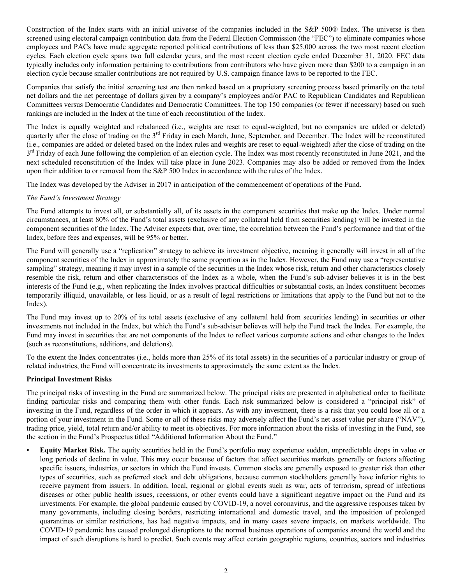Construction of the Index starts with an initial universe of the companies included in the S&P 500® Index. The universe is then screened using electoral campaign contribution data from the Federal Election Commission (the "FEC") to eliminate companies whose employees and PACs have made aggregate reported political contributions of less than \$25,000 across the two most recent election cycles. Each election cycle spans two full calendar years, and the most recent election cycle ended December 31, 2020. FEC data typically includes only information pertaining to contributions from contributors who have given more than \$200 to a campaign in an election cycle because smaller contributions are not required by U.S. campaign finance laws to be reported to the FEC.

Companies that satisfy the initial screening test are then ranked based on a proprietary screening process based primarily on the total net dollars and the net percentage of dollars given by a company's employees and/or PAC to Republican Candidates and Republican Committees versus Democratic Candidates and Democratic Committees. The top 150 companies (or fewer if necessary) based on such rankings are included in the Index at the time of each reconstitution of the Index.

The Index is equally weighted and rebalanced (i.e., weights are reset to equal-weighted, but no companies are added or deleted) quarterly after the close of trading on the 3<sup>rd</sup> Friday in each March, June, September, and December. The Index will be reconstituted (i.e., companies are added or deleted based on the Index rules and weights are reset to equal-weighted) after the close of trading on the 3<sup>rd</sup> Friday of each June following the completion of an election cycle. The Index was most recently reconstituted in June 2021, and the next scheduled reconstitution of the Index will take place in June 2023. Companies may also be added or removed from the Index upon their addition to or removal from the S&P 500 Index in accordance with the rules of the Index.

The Index was developed by the Adviser in 2017 in anticipation of the commencement of operations of the Fund.

### *The Fund's Investment Strategy*

The Fund attempts to invest all, or substantially all, of its assets in the component securities that make up the Index. Under normal circumstances, at least 80% of the Fund's total assets (exclusive of any collateral held from securities lending) will be invested in the component securities of the Index. The Adviser expects that, over time, the correlation between the Fund's performance and that of the Index, before fees and expenses, will be 95% or better.

The Fund will generally use a "replication" strategy to achieve its investment objective, meaning it generally will invest in all of the component securities of the Index in approximately the same proportion as in the Index. However, the Fund may use a "representative sampling" strategy, meaning it may invest in a sample of the securities in the Index whose risk, return and other characteristics closely resemble the risk, return and other characteristics of the Index as a whole, when the Fund's sub-adviser believes it is in the best interests of the Fund (e.g., when replicating the Index involves practical difficulties or substantial costs, an Index constituent becomes temporarily illiquid, unavailable, or less liquid, or as a result of legal restrictions or limitations that apply to the Fund but not to the Index).

The Fund may invest up to 20% of its total assets (exclusive of any collateral held from securities lending) in securities or other investments not included in the Index, but which the Fund's sub-adviser believes will help the Fund track the Index. For example, the Fund may invest in securities that are not components of the Index to reflect various corporate actions and other changes to the Index (such as reconstitutions, additions, and deletions).

To the extent the Index concentrates (i.e., holds more than 25% of its total assets) in the securities of a particular industry or group of related industries, the Fund will concentrate its investments to approximately the same extent as the Index.

#### **Principal Investment Risks**

The principal risks of investing in the Fund are summarized below. The principal risks are presented in alphabetical order to facilitate finding particular risks and comparing them with other funds. Each risk summarized below is considered a "principal risk" of investing in the Fund, regardless of the order in which it appears. As with any investment, there is a risk that you could lose all or a portion of your investment in the Fund. Some or all of these risks may adversely affect the Fund's net asset value per share ("NAV"), trading price, yield, total return and/or ability to meet its objectives. For more information about the risks of investing in the Fund, see the section in the Fund's Prospectus titled "Additional Information About the Fund."

**• Equity Market Risk.** The equity securities held in the Fund's portfolio may experience sudden, unpredictable drops in value or long periods of decline in value. This may occur because of factors that affect securities markets generally or factors affecting specific issuers, industries, or sectors in which the Fund invests. Common stocks are generally exposed to greater risk than other types of securities, such as preferred stock and debt obligations, because common stockholders generally have inferior rights to receive payment from issuers. In addition, local, regional or global events such as war, acts of terrorism, spread of infectious diseases or other public health issues, recessions, or other events could have a significant negative impact on the Fund and its investments. For example, the global pandemic caused by COVID-19, a novel coronavirus, and the aggressive responses taken by many governments, including closing borders, restricting international and domestic travel, and the imposition of prolonged quarantines or similar restrictions, has had negative impacts, and in many cases severe impacts, on markets worldwide. The COVID-19 pandemic has caused prolonged disruptions to the normal business operations of companies around the world and the impact of such disruptions is hard to predict. Such events may affect certain geographic regions, countries, sectors and industries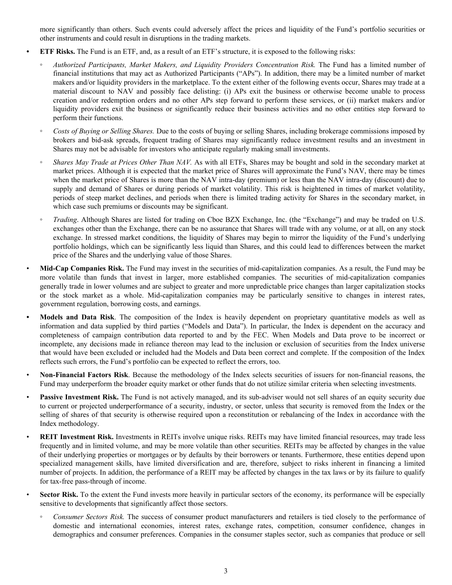more significantly than others. Such events could adversely affect the prices and liquidity of the Fund's portfolio securities or other instruments and could result in disruptions in the trading markets.

- **• ETF Risks.** The Fund is an ETF, and, as a result of an ETF's structure, it is exposed to the following risks:
	- *Authorized Participants, Market Makers, and Liquidity Providers Concentration Risk.* The Fund has a limited number of financial institutions that may act as Authorized Participants ("APs"). In addition, there may be a limited number of market makers and/or liquidity providers in the marketplace. To the extent either of the following events occur, Shares may trade at a material discount to NAV and possibly face delisting: (i) APs exit the business or otherwise become unable to process creation and/or redemption orders and no other APs step forward to perform these services, or (ii) market makers and/or liquidity providers exit the business or significantly reduce their business activities and no other entities step forward to perform their functions.
- *Costs of Buying or Selling Shares.* Due to the costs of buying or selling Shares, including brokerage commissions imposed by brokers and bid-ask spreads, frequent trading of Shares may significantly reduce investment results and an investment in Shares may not be advisable for investors who anticipate regularly making small investments.
- *Shares May Trade at Prices Other Than NAV.* As with all ETFs, Shares may be bought and sold in the secondary market at market prices. Although it is expected that the market price of Shares will approximate the Fund's NAV, there may be times when the market price of Shares is more than the NAV intra-day (premium) or less than the NAV intra-day (discount) due to supply and demand of Shares or during periods of market volatility. This risk is heightened in times of market volatility, periods of steep market declines, and periods when there is limited trading activity for Shares in the secondary market, in which case such premiums or discounts may be significant.
- *Trading*. Although Shares are listed for trading on Cboe BZX Exchange, Inc. (the "Exchange") and may be traded on U.S. exchanges other than the Exchange, there can be no assurance that Shares will trade with any volume, or at all, on any stock exchange. In stressed market conditions, the liquidity of Shares may begin to mirror the liquidity of the Fund's underlying portfolio holdings, which can be significantly less liquid than Shares, and this could lead to differences between the market price of the Shares and the underlying value of those Shares.
- **Mid-Cap Companies Risk.** The Fund may invest in the securities of mid-capitalization companies. As a result, the Fund may be more volatile than funds that invest in larger, more established companies. The securities of mid-capitalization companies generally trade in lower volumes and are subject to greater and more unpredictable price changes than larger capitalization stocks or the stock market as a whole. Mid-capitalization companies may be particularly sensitive to changes in interest rates, government regulation, borrowing costs, and earnings.
- **• Models and Data Risk**. The composition of the Index is heavily dependent on proprietary quantitative models as well as information and data supplied by third parties ("Models and Data"). In particular, the Index is dependent on the accuracy and completeness of campaign contribution data reported to and by the FEC. When Models and Data prove to be incorrect or incomplete, any decisions made in reliance thereon may lead to the inclusion or exclusion of securities from the Index universe that would have been excluded or included had the Models and Data been correct and complete. If the composition of the Index reflects such errors, the Fund's portfolio can be expected to reflect the errors, too.
- **Non-Financial Factors Risk**. Because the methodology of the Index selects securities of issuers for non-financial reasons, the Fund may underperform the broader equity market or other funds that do not utilize similar criteria when selecting investments.
- Passive Investment Risk. The Fund is not actively managed, and its sub-adviser would not sell shares of an equity security due to current or projected underperformance of a security, industry, or sector, unless that security is removed from the Index or the selling of shares of that security is otherwise required upon a reconstitution or rebalancing of the Index in accordance with the Index methodology.
- **REIT Investment Risk.** Investments in REITs involve unique risks. REITs may have limited financial resources, may trade less frequently and in limited volume, and may be more volatile than other securities. REITs may be affected by changes in the value of their underlying properties or mortgages or by defaults by their borrowers or tenants. Furthermore, these entities depend upon specialized management skills, have limited diversification and are, therefore, subject to risks inherent in financing a limited number of projects. In addition, the performance of a REIT may be affected by changes in the tax laws or by its failure to qualify for tax-free pass-through of income.
	- **Sector Risk.** To the extent the Fund invests more heavily in particular sectors of the economy, its performance will be especially sensitive to developments that significantly affect those sectors.
		- *Consumer Sectors Risk.* The success of consumer product manufacturers and retailers is tied closely to the performance of domestic and international economies, interest rates, exchange rates, competition, consumer confidence, changes in demographics and consumer preferences. Companies in the consumer staples sector, such as companies that produce or sell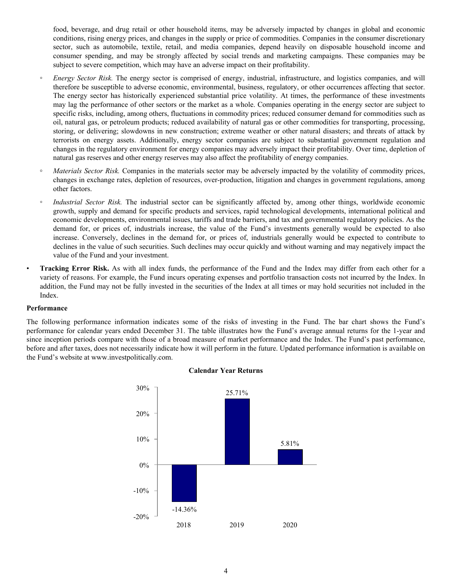food, beverage, and drug retail or other household items, may be adversely impacted by changes in global and economic conditions, rising energy prices, and changes in the supply or price of commodities. Companies in the consumer discretionary sector, such as automobile, textile, retail, and media companies, depend heavily on disposable household income and consumer spending, and may be strongly affected by social trends and marketing campaigns. These companies may be subject to severe competition, which may have an adverse impact on their profitability.

- *Energy Sector Risk.* The energy sector is comprised of energy, industrial, infrastructure, and logistics companies, and will therefore be susceptible to adverse economic, environmental, business, regulatory, or other occurrences affecting that sector. The energy sector has historically experienced substantial price volatility. At times, the performance of these investments may lag the performance of other sectors or the market as a whole. Companies operating in the energy sector are subject to specific risks, including, among others, fluctuations in commodity prices; reduced consumer demand for commodities such as oil, natural gas, or petroleum products; reduced availability of natural gas or other commodities for transporting, processing, storing, or delivering; slowdowns in new construction; extreme weather or other natural disasters; and threats of attack by terrorists on energy assets. Additionally, energy sector companies are subject to substantial government regulation and changes in the regulatory environment for energy companies may adversely impact their profitability. Over time, depletion of natural gas reserves and other energy reserves may also affect the profitability of energy companies.
- **◦** *Materials Sector Risk.* Companies in the materials sector may be adversely impacted by the volatility of commodity prices, changes in exchange rates, depletion of resources, over-production, litigation and changes in government regulations, among other factors.
- *Industrial Sector Risk.* The industrial sector can be significantly affected by, among other things, worldwide economic growth, supply and demand for specific products and services, rapid technological developments, international political and economic developments, environmental issues, tariffs and trade barriers, and tax and governmental regulatory policies. As the demand for, or prices of, industrials increase, the value of the Fund's investments generally would be expected to also increase. Conversely, declines in the demand for, or prices of, industrials generally would be expected to contribute to declines in the value of such securities. Such declines may occur quickly and without warning and may negatively impact the value of the Fund and your investment.
- **Tracking Error Risk.** As with all index funds, the performance of the Fund and the Index may differ from each other for a variety of reasons. For example, the Fund incurs operating expenses and portfolio transaction costs not incurred by the Index. In addition, the Fund may not be fully invested in the securities of the Index at all times or may hold securities not included in the Index.

#### **Performance**

The following performance information indicates some of the risks of investing in the Fund. The bar chart shows the Fund's performance for calendar years ended December 31. The table illustrates how the Fund's average annual returns for the 1-year and since inception periods compare with those of a broad measure of market performance and the Index. The Fund's past performance, before and after taxes, does not necessarily indicate how it will perform in the future. Updated performance information is available on the Fund's website at www.investpolitically.com.



#### **Calendar Year Returns**